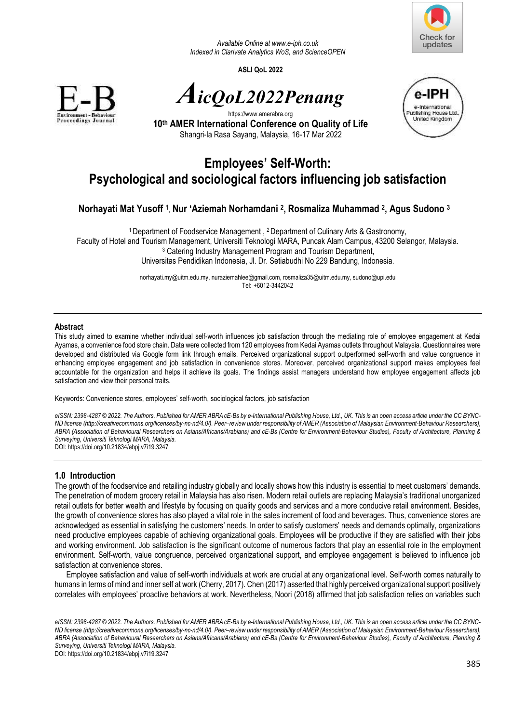

*Available Online a[t www.e-iph.co.uk](http://www.e-iph.co.uk/)  Indexed in Clarivate Analytics WoS, and ScienceOPEN* 

**ASLI QoL 2022** 



*AicQoL2022Penang*



https://www.amerabra.org **10th AMER International Conference on Quality of Life** Shangri-la Rasa Sayang, Malaysia, 16-17 Mar 2022

# **Employees' Self-Worth: Psychological and sociological factors influencing job satisfaction**

# **Norhayati Mat Yusoff <sup>1</sup>** , **Nur 'Aziemah Norhamdani <sup>2</sup> , Rosmaliza Muhammad <sup>2</sup> , Agus Sudono <sup>3</sup>**

<sup>1</sup>Department of Foodservice Management , 2 Department of Culinary Arts & Gastronomy, Faculty of Hotel and Tourism Management, Universiti Teknologi MARA, Puncak Alam Campus, 43200 Selangor, Malaysia. 3 Catering Industry Management Program and Tourism Department, Universitas Pendidikan Indonesia, Jl. Dr. Setiabudhi No 229 Bandung, Indonesia.

> norhayati.my@uitm.edu.my, nuraziemahlee@gmail.com, rosmaliza35@uitm.edu.my, sudono@upi.edu Tel: +6012-3442042

#### **Abstract**

This study aimed to examine whether individual self-worth influences job satisfaction through the mediating role of employee engagement at Kedai Ayamas, a convenience food store chain. Data were collected from 120 employees from Kedai Ayamas outlets throughout Malaysia. Questionnaires were developed and distributed via Google form link through emails. Perceived organizational support outperformed self-worth and value congruence in enhancing employee engagement and job satisfaction in convenience stores. Moreover, perceived organizational support makes employees feel accountable for the organization and helps it achieve its goals. The findings assist managers understand how employee engagement affects job satisfaction and view their personal traits.

Keywords: Convenience stores, employees' self-worth, sociological factors, job satisfaction

*eISSN: 2398-4287 © 2022. The Authors. Published for AMER ABRA cE-Bs by e-International Publishing House, Ltd., UK. This is an open access article under the CC BYNC-ND license (http://creativecommons.org/licenses/by-nc-nd/4.0/). Peer–review under responsibility of AMER (Association of Malaysian Environment-Behaviour Researchers), ABRA (Association of Behavioural Researchers on Asians/Africans/Arabians) and cE-Bs (Centre for Environment-Behaviour Studies), Faculty of Architecture, Planning & Surveying, Universiti Teknologi MARA, Malaysia.*  DOI: https://doi.org/10.21834/ebpj.v7i19.3247

**1.0 Introduction** 

The growth of the foodservice and retailing industry globally and locally shows how this industry is essential to meet customers' demands. The penetration of modern grocery retail in Malaysia has also risen. Modern retail outlets are replacing Malaysia's traditional unorganized retail outlets for better wealth and lifestyle by focusing on quality goods and services and a more conducive retail environment. Besides, the growth of convenience stores has also played a vital role in the sales increment of food and beverages. Thus, convenience stores are acknowledged as essential in satisfying the customers' needs. In order to satisfy customers' needs and demands optimally, organizations need productive employees capable of achieving organizational goals. Employees will be productive if they are satisfied with their jobs and working environment. Job satisfaction is the significant outcome of numerous factors that play an essential role in the employment environment. Self-worth, value congruence, perceived organizational support, and employee engagement is believed to influence job satisfaction at convenience stores.

Employee satisfaction and value of self-worth individuals at work are crucial at any organizational level. Self-worth comes naturally to humans in terms of mind and inner self at work (Cherry, 2017). Chen (2017) asserted that highly perceived organizational support positively correlates with employees' proactive behaviors at work. Nevertheless, Noori (2018) affirmed that job satisfaction relies on variables such

*eISSN: 2398-4287 © 2022. The Authors. Published for AMER ABRA cE-Bs by e-International Publishing House, Ltd., UK. This is an open access article under the CC BYNC-ND license (http://creativecommons.org/licenses/by-nc-nd/4.0/). Peer–review under responsibility of AMER (Association of Malaysian Environment-Behaviour Researchers),*  ABRA (Association of Behavioural Researchers on Asians/Africans/Arabians) and cE-Bs (Centre for Environment-Behaviour Studies), Faculty of Architecture, Planning & *Surveying, Universiti Teknologi MARA, Malaysia.* 

DOI: https://doi.org/10.21834/ebpj.v7i19.3247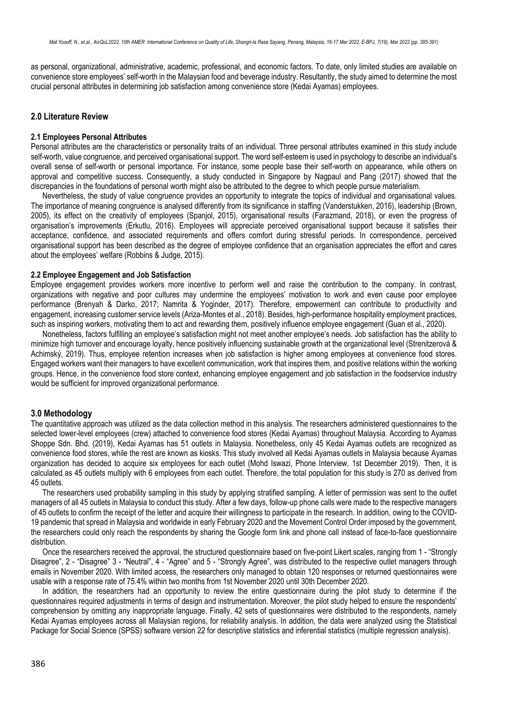as personal, organizational, administrative, academic, professional, and economic factors. To date, only limited studies are available on convenience store employees' self-worth in the Malaysian food and beverage industry. Resultantly, the study aimed to determine the most crucial personal attributes in determining job satisfaction among convenience store (Kedai Ayamas) employees.

# **2.0 Literature Review**

#### **2.1 Employees Personal Attributes**

Personal attributes are the characteristics or personality traits of an individual. Three personal attributes examined in this study include self-worth, value congruence, and perceived organisational support. The word self-esteem is used in psychology to describe an individual's overall sense of self-worth or personal importance. For instance, some people base their self-worth on appearance, while others on approval and competitive success. Consequently, a study conducted in Singapore by Nagpaul and Pang (2017) showed that the discrepancies in the foundations of personal worth might also be attributed to the degree to which people pursue materialism.

Nevertheless, the study of value congruence provides an opportunity to integrate the topics of individual and organisational values. The importance of meaning congruence is analysed differently from its significance in staffing (Vanderstukken, 2016), leadership (Brown, 2005), its effect on the creativity of employees (Spanjol, 2015), organisational results (Farazmand, 2018), or even the progress of organisation's improvements (Erkutlu, 2016). Employees will appreciate perceived organisational support because it satisfies their acceptance, confidence, and associated requirements and offers comfort during stressful periods. In correspondence, perceived organisational support has been described as the degree of employee confidence that an organisation appreciates the effort and cares about the employees' welfare (Robbins & Judge, 2015).

#### **2.2 Employee Engagement and Job Satisfaction**

Employee engagement provides workers more incentive to perform well and raise the contribution to the company. In contrast, organizations with negative and poor cultures may undermine the employees' motivation to work and even cause poor employee performance (Brenyah & Darko, 2017; Namrita & Yoginder, 2017). Therefore, empowerment can contribute to productivity and engagement, increasing customer service levels (Ariza-Montes et al., 2018). Besides, high-performance hospitality employment practices, such as inspiring workers, motivating them to act and rewarding them, positively influence employee engagement (Guan et al., 2020).

Nonetheless, factors fulfilling an employee's satisfaction might not meet another employee's needs. Job satisfaction has the ability to minimize high turnover and encourage loyalty, hence positively influencing sustainable growth at the organizational level (Strenitzerová & Achimský, 2019). Thus, employee retention increases when job satisfaction is higher among employees at convenience food stores. Engaged workers want their managers to have excellent communication, work that inspires them, and positive relations within the working groups. Hence, in the convenience food store context, enhancing employee engagement and job satisfaction in the foodservice industry would be sufficient for improved organizational performance.

## **3.0 Methodology**

The quantitative approach was utilized as the data collection method in this analysis. The researchers administered questionnaires to the selected lower-level employees (crew) attached to convenience food stores (Kedai Ayamas) throughout Malaysia. According to Ayamas Shoppe Sdn. Bhd. (2019), Kedai Ayamas has 51 outlets in Malaysia. Nonetheless, only 45 Kedai Ayamas outlets are recognized as convenience food stores, while the rest are known as kiosks. This study involved all Kedai Ayamas outlets in Malaysia because Ayamas organization has decided to acquire six employees for each outlet (Mohd Iswazi, Phone Interview, 1st December 2019). Then, it is calculated as 45 outlets multiply with 6 employees from each outlet. Therefore, the total population for this study is 270 as derived from 45 outlets.

The researchers used probability sampling in this study by applying stratified sampling. A letter of permission was sent to the outlet managers of all 45 outlets in Malaysia to conduct this study. After a few days, follow-up phone calls were made to the respective managers of 45 outlets to confirm the receipt of the letter and acquire their willingness to participate in the research. In addition, owing to the COVID-19 pandemic that spread in Malaysia and worldwide in early February 2020 and the Movement Control Order imposed by the government, the researchers could only reach the respondents by sharing the Google form link and phone call instead of face-to-face questionnaire distribution.

Once the researchers received the approval, the structured questionnaire based on five-point Likert scales, ranging from 1 - "Strongly Disagree", 2 - "Disagree" 3 - "Neutral", 4 - "Agree" and 5 - "Strongly Agree", was distributed to the respective outlet managers through emails in November 2020. With limited access, the researchers only managed to obtain 120 responses or returned questionnaires were usable with a response rate of 75.4% within two months from 1st November 2020 until 30th December 2020.

In addition, the researchers had an opportunity to review the entire questionnaire during the pilot study to determine if the questionnaires required adjustments in terms of design and instrumentation. Moreover, the pilot study helped to ensure the respondents' comprehension by omitting any inappropriate language. Finally, 42 sets of questionnaires were distributed to the respondents, namely Kedai Ayamas employees across all Malaysian regions, for reliability analysis. In addition, the data were analyzed using the Statistical Package for Social Science (SPSS) software version 22 for descriptive statistics and inferential statistics (multiple regression analysis).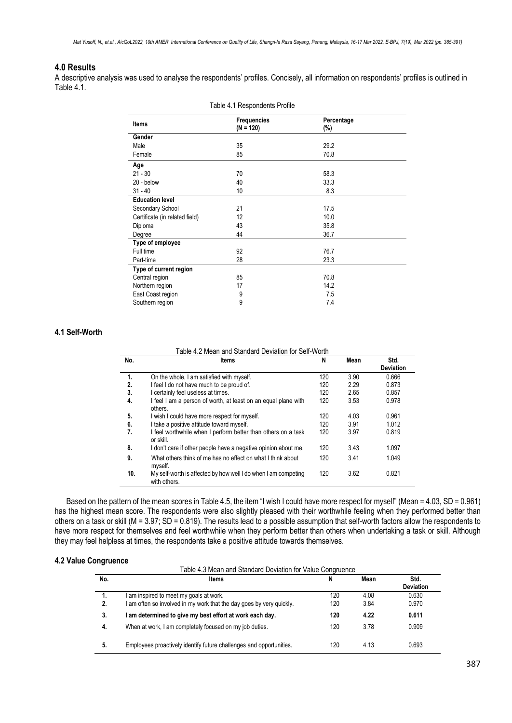# **4.0 Results**

A descriptive analysis was used to analyse the respondents' profiles. Concisely, all information on respondents' profiles is outlined in Table 4.1.

| Table 4.1 Respondents Profile  |                                   |                   |  |  |  |
|--------------------------------|-----------------------------------|-------------------|--|--|--|
| <b>Items</b>                   | <b>Frequencies</b><br>$(N = 120)$ | Percentage<br>(%) |  |  |  |
| Gender                         |                                   |                   |  |  |  |
| Male                           | 35                                | 29.2              |  |  |  |
| Female                         | 85                                | 70.8              |  |  |  |
| Age                            |                                   |                   |  |  |  |
| $21 - 30$                      | 70                                | 58.3              |  |  |  |
| 20 - below                     | 40                                | 33.3              |  |  |  |
| $31 - 40$                      | 10                                | 8.3               |  |  |  |
| <b>Education level</b>         |                                   |                   |  |  |  |
| Secondary School               | 21                                | 17.5              |  |  |  |
| Certificate (in related field) | 12                                | 10.0              |  |  |  |
| Diploma                        | 43                                | 35.8              |  |  |  |
| Degree                         | 44                                | 36.7              |  |  |  |
| Type of employee               |                                   |                   |  |  |  |
| Full time                      | 92                                | 76.7              |  |  |  |
| Part-time                      | 28                                | 23.3              |  |  |  |
| Type of current region         |                                   |                   |  |  |  |
| Central region                 | 85                                | 70.8              |  |  |  |
| Northern region                | 17                                | 14.2              |  |  |  |
| East Coast region              | 9<br>9                            | 7.5               |  |  |  |
| Southern region                |                                   | 7.4               |  |  |  |

# **4.1 Self-Worth**

Table 4.2 Mean and Standard Deviation for Self-Worth

| No. | ltems                                                                          | N   | Mean | Std.<br><b>Deviation</b> |
|-----|--------------------------------------------------------------------------------|-----|------|--------------------------|
| 1.  | On the whole, I am satisfied with myself.                                      | 120 | 3.90 | 0.666                    |
| 2.  | I feel I do not have much to be proud of.                                      | 120 | 2.29 | 0.873                    |
| 3.  | I certainly feel useless at times.                                             | 120 | 2.65 | 0.857                    |
| 4.  | I feel I am a person of worth, at least on an equal plane with<br>others.      | 120 | 3.53 | 0.978                    |
| 5.  | I wish I could have more respect for myself.                                   | 120 | 4.03 | 0.961                    |
| 6.  | I take a positive attitude toward myself.                                      | 120 | 3.91 | 1.012                    |
| 7.  | I feel worthwhile when I perform better than others on a task<br>or skill.     | 120 | 3.97 | 0.819                    |
| 8.  | I don't care if other people have a negative opinion about me.                 | 120 | 3.43 | 1.097                    |
| 9.  | What others think of me has no effect on what I think about<br>myself.         | 120 | 3.41 | 1.049                    |
| 10. | My self-worth is affected by how well I do when I am competing<br>with others. | 120 | 3.62 | 0.821                    |

Based on the pattern of the mean scores in Table 4.5, the item "I wish I could have more respect for myself" (Mean = 4.03, SD = 0.961) has the highest mean score. The respondents were also slightly pleased with their worthwhile feeling when they performed better than others on a task or skill (M = 3.97; SD = 0.819). The results lead to a possible assumption that self-worth factors allow the respondents to have more respect for themselves and feel worthwhile when they perform better than others when undertaking a task or skill. Although they may feel helpless at times, the respondents take a positive attitude towards themselves.

# **4.2 Value Congruence**

| Table 4.3 Mean and Standard Deviation for Value Congruence |  |
|------------------------------------------------------------|--|
|------------------------------------------------------------|--|

| No. | ltems                                                                | N   | Mean | Std.             |
|-----|----------------------------------------------------------------------|-----|------|------------------|
|     |                                                                      |     |      | <b>Deviation</b> |
| 1.  | am inspired to meet my goals at work.                                | 120 | 4.08 | 0.630            |
| 2.  | I am often so involved in my work that the day goes by very quickly. | 120 | 3.84 | 0.970            |
| 3.  | I am determined to give my best effort at work each day.             | 120 | 4.22 | 0.611            |
| -4. | When at work, I am completely focused on my job duties.              | 120 | 3.78 | 0.909            |
| 5.  | Employees proactively identify future challenges and opportunities.  | 120 | 4.13 | 0.693            |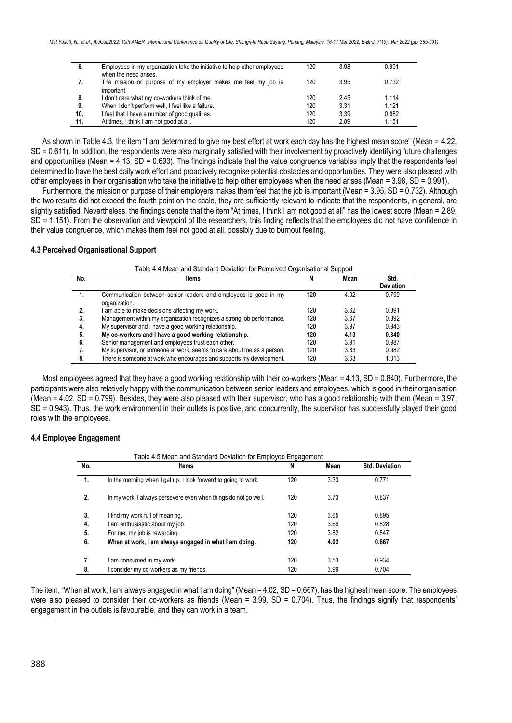| 6.  | Employees in my organization take the initiative to help other employees<br>when the need arises. | 120 | 3.98 | 0.991 |
|-----|---------------------------------------------------------------------------------------------------|-----|------|-------|
| 7.  | The mission or purpose of my employer makes me feel my job is<br>important.                       | 120 | 3.95 | 0.732 |
| 8.  | I don't care what my co-workers think of me.                                                      | 120 | 245  | 1.114 |
| 9.  | When I don't perform well, I feel like a failure.                                                 | 120 | 3.31 | 1.121 |
| 10. | I feel that I have a number of good qualities.                                                    | 120 | 3.39 | 0.882 |
| 11. | At times, I think I am not good at all.                                                           | 120 | 2.89 | 1.151 |

As shown in Table 4.3, the item "I am determined to give my best effort at work each day has the highest mean score" (Mean = 4.22, SD = 0.611). In addition, the respondents were also marginally satisfied with their involvement by proactively identifying future challenges and opportunities (Mean =  $4.13$ , SD =  $0.693$ ). The findings indicate that the value congruence variables imply that the respondents feel determined to have the best daily work effort and proactively recognise potential obstacles and opportunities. They were also pleased with other employees in their organisation who take the initiative to help other employees when the need arises (Mean = 3.98, SD = 0.991).

Furthermore, the mission or purpose of their employers makes them feel that the job is important (Mean = 3.95, SD = 0.732). Although the two results did not exceed the fourth point on the scale, they are sufficiently relevant to indicate that the respondents, in general, are slightly satisfied. Nevertheless, the findings denote that the item "At times, I think I am not good at all" has the lowest score (Mean = 2.89, SD = 1.151). From the observation and viewpoint of the researchers, this finding reflects that the employees did not have confidence in their value congruence, which makes them feel not good at all, possibly due to burnout feeling.

### **4.3 Perceived Organisational Support**

| Table 4.4 Mean and Standard Deviation for Perceived Organisational Support |  |
|----------------------------------------------------------------------------|--|
|----------------------------------------------------------------------------|--|

| No. | ltems                                                                             |     | Mean | Std.             |
|-----|-----------------------------------------------------------------------------------|-----|------|------------------|
|     |                                                                                   |     |      | <b>Deviation</b> |
| .,  | Communication between senior leaders and employees is good in my<br>organization. | 120 | 4.02 | 0.799            |
|     | I am able to make decisions affecting my work.                                    | 120 | 362  | 0.891            |
| 3.  | Management within my organization recognizes a strong job performance.            | 120 | 3.67 | 0.892            |
| 4.  | My supervisor and I have a good working relationship.                             | 120 | 3.97 | 0.943            |
| 5.  | My co-workers and I have a good working relationship.                             | 120 | 4.13 | 0.840            |
| 6.  | Senior management and employees trust each other.                                 | 120 | 3.91 | 0.987            |
|     | My supervisor, or someone at work, seems to care about me as a person.            | 120 | 3.83 | 0.982            |
| -8. | There is someone at work who encourages and supports my development.              | 120 | 3.63 | 1.013            |

Most employees agreed that they have a good working relationship with their co-workers (Mean = 4.13, SD = 0.840). Furthermore, the participants were also relatively happy with the communication between senior leaders and employees, which is good in their organisation (Mean = 4.02, SD = 0.799). Besides, they were also pleased with their supervisor, who has a good relationship with them (Mean = 3.97, SD = 0.943). Thus, the work environment in their outlets is positive, and concurrently, the supervisor has successfully played their good roles with the employees.

# **4.4 Employee Engagement**

| Table 4.5 Mean and Standard Deviation for Employee Engagement |                                                                 |     |      |                       |  |  |
|---------------------------------------------------------------|-----------------------------------------------------------------|-----|------|-----------------------|--|--|
| No.                                                           | <b>Items</b>                                                    | N   | Mean | <b>Std. Deviation</b> |  |  |
| 1.                                                            | In the morning when I get up, I look forward to going to work.  | 120 | 3.33 | 0.771                 |  |  |
| 2.                                                            | In my work, I always persevere even when things do not go well. | 120 | 3.73 | 0.837                 |  |  |
| 3.                                                            | I find my work full of meaning.                                 | 120 | 3.65 | 0.895                 |  |  |
| 4.                                                            | I am enthusiastic about my job.                                 | 120 | 3.69 | 0.828                 |  |  |
| 5.                                                            | For me, my job is rewarding.                                    | 120 | 3.82 | 0.847                 |  |  |
| 6.                                                            | When at work, I am always engaged in what I am doing.           | 120 | 4.02 | 0.667                 |  |  |
| 7.                                                            | I am consumed in my work.                                       | 120 | 3.53 | 0.934                 |  |  |
| 8.                                                            | I consider my co-workers as my friends.                         | 120 | 3.99 | 0.704                 |  |  |

The item, "When at work, I am always engaged in what I am doing" (Mean = 4.02, SD = 0.667), has the highest mean score. The employees were also pleased to consider their co-workers as friends (Mean =  $3.99$ , SD =  $0.704$ ). Thus, the findings signify that respondents' engagement in the outlets is favourable, and they can work in a team.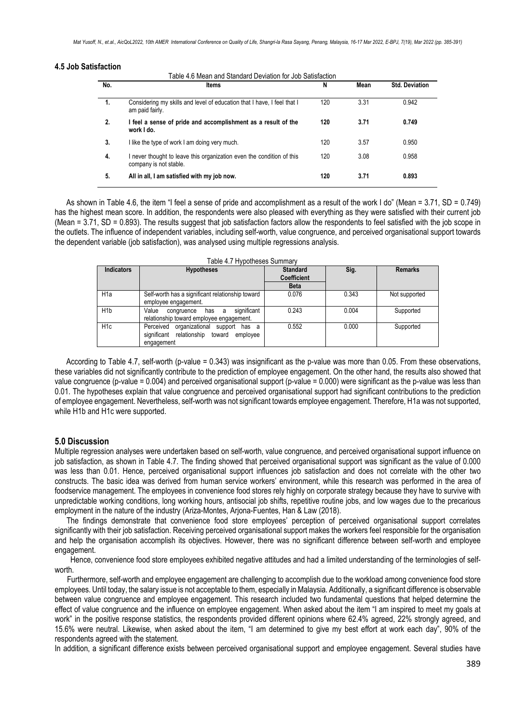#### **4.5 Job Satisfaction**

Table 4.6 Mean and Standard Deviation for Job Satisfaction

| No. | <b>Items</b>                                                                                  | N   | Mean | <b>Std. Deviation</b> |
|-----|-----------------------------------------------------------------------------------------------|-----|------|-----------------------|
| 1.  | Considering my skills and level of education that I have, I feel that I<br>am paid fairly.    | 120 | 3.31 | 0.942                 |
| 2.  | I feel a sense of pride and accomplishment as a result of the<br>work I do.                   | 120 | 3.71 | 0.749                 |
| 3.  | I like the type of work I am doing very much.                                                 | 120 | 3.57 | 0.950                 |
| 4.  | never thought to leave this organization even the condition of this<br>company is not stable. | 120 | 3.08 | 0.958                 |
| 5.  | All in all, I am satisfied with my job now.                                                   | 120 | 3.71 | 0.893                 |

As shown in Table 4.6, the item "I feel a sense of pride and accomplishment as a result of the work I do" (Mean = 3.71, SD = 0.749) has the highest mean score. In addition, the respondents were also pleased with everything as they were satisfied with their current job (Mean = 3.71, SD = 0.893). The results suggest that job satisfaction factors allow the respondents to feel satisfied with the job scope in the outlets. The influence of independent variables, including self-worth, value congruence, and perceived organisational support towards the dependent variable (job satisfaction), was analysed using multiple regressions analysis.

| <b>Indicators</b> | <b>Hypotheses</b>                                                                                      | <b>Standard</b><br><b>Coefficient</b><br><b>Beta</b> | Sig.  | <b>Remarks</b> |
|-------------------|--------------------------------------------------------------------------------------------------------|------------------------------------------------------|-------|----------------|
| H <sub>1</sub> a  | Self-worth has a significant relationship toward<br>employee engagement.                               | 0.076                                                | 0.343 | Not supported  |
| H <sub>1</sub> b  | significant<br>Value<br>has a<br>congruence<br>relationship toward employee engagement.                | 0.243                                                | 0.004 | Supported      |
| H <sub>1c</sub>   | Perceived organizational support has a<br>relationship<br>toward employee<br>significant<br>engagement | 0.552                                                | 0.000 | Supported      |

Table 4.7 Hypotheses Summary

According to Table 4.7, self-worth (p-value = 0.343) was insignificant as the p-value was more than 0.05. From these observations, these variables did not significantly contribute to the prediction of employee engagement. On the other hand, the results also showed that value congruence (p-value = 0.004) and perceived organisational support (p-value = 0.000) were significant as the p-value was less than 0.01. The hypotheses explain that value congruence and perceived organisational support had significant contributions to the prediction of employee engagement. Nevertheless, self-worth was not significant towards employee engagement. Therefore, H1a was not supported, while H1b and H1c were supported.

# **5.0 Discussion**

Multiple regression analyses were undertaken based on self-worth, value congruence, and perceived organisational support influence on job satisfaction, as shown in Table 4.7. The finding showed that perceived organisational support was significant as the value of 0.000 was less than 0.01. Hence, perceived organisational support influences job satisfaction and does not correlate with the other two constructs. The basic idea was derived from human service workers' environment, while this research was performed in the area of foodservice management. The employees in convenience food stores rely highly on corporate strategy because they have to survive with unpredictable working conditions, long working hours, antisocial job shifts, repetitive routine jobs, and low wages due to the precarious employment in the nature of the industry (Ariza-Montes, Arjona-Fuentes, Han & Law (2018).

 The findings demonstrate that convenience food store employees' perception of perceived organisational support correlates significantly with their job satisfaction. Receiving perceived organisational support makes the workers feel responsible for the organisation and help the organisation accomplish its objectives. However, there was no significant difference between self-worth and employee engagement.

 Hence, convenience food store employees exhibited negative attitudes and had a limited understanding of the terminologies of selfworth.

Furthermore, self-worth and employee engagement are challenging to accomplish due to the workload among convenience food store employees. Until today, the salary issue is not acceptable to them, especially in Malaysia. Additionally, a significant difference is observable between value congruence and employee engagement. This research included two fundamental questions that helped determine the effect of value congruence and the influence on employee engagement. When asked about the item "I am inspired to meet my goals at work" in the positive response statistics, the respondents provided different opinions where 62.4% agreed, 22% strongly agreed, and 15.6% were neutral. Likewise, when asked about the item, "I am determined to give my best effort at work each day", 90% of the respondents agreed with the statement.

In addition, a significant difference exists between perceived organisational support and employee engagement. Several studies have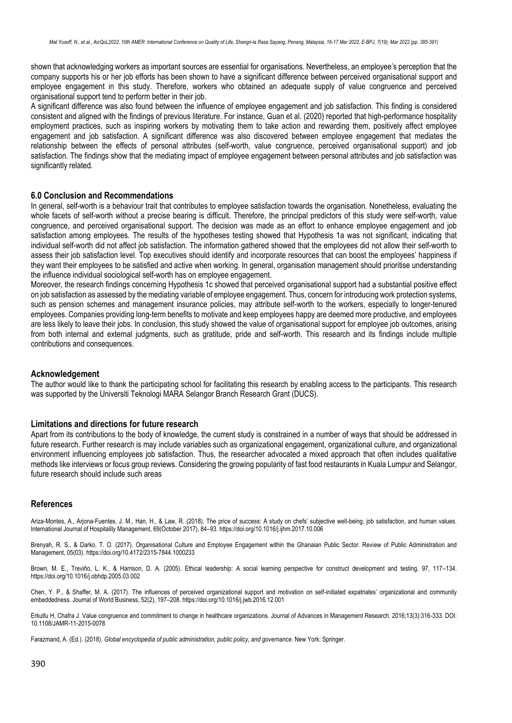shown that acknowledging workers as important sources are essential for organisations. Nevertheless, an employee's perception that the company supports his or her job efforts has been shown to have a significant difference between perceived organisational support and employee engagement in this study. Therefore, workers who obtained an adequate supply of value congruence and perceived organisational support tend to perform better in their job.

A significant difference was also found between the influence of employee engagement and job satisfaction. This finding is considered consistent and aligned with the findings of previous literature. For instance, Guan et al. (2020) reported that high-performance hospitality employment practices, such as inspiring workers by motivating them to take action and rewarding them, positively affect employee engagement and job satisfaction. A significant difference was also discovered between employee engagement that mediates the relationship between the effects of personal attributes (self-worth, value congruence, perceived organisational support) and job satisfaction. The findings show that the mediating impact of employee engagement between personal attributes and job satisfaction was significantly related.

#### **6.0 Conclusion and Recommendations**

In general, self-worth is a behaviour trait that contributes to employee satisfaction towards the organisation. Nonetheless, evaluating the whole facets of self-worth without a precise bearing is difficult. Therefore, the principal predictors of this study were self-worth, value congruence, and perceived organisational support. The decision was made as an effort to enhance employee engagement and job satisfaction among employees. The results of the hypotheses testing showed that Hypothesis 1a was not significant, indicating that individual self-worth did not affect job satisfaction. The information gathered showed that the employees did not allow their self-worth to assess their job satisfaction level. Top executives should identify and incorporate resources that can boost the employees' happiness if they want their employees to be satisfied and active when working. In general, organisation management should prioritise understanding the influence individual sociological self-worth has on employee engagement.

Moreover, the research findings concerning Hypothesis 1c showed that perceived organisational support had a substantial positive effect on job satisfaction as assessed by the mediating variable of employee engagement. Thus, concern for introducing work protection systems, such as pension schemes and management insurance policies, may attribute self-worth to the workers, especially to longer-tenured employees. Companies providing long-term benefits to motivate and keep employees happy are deemed more productive, and employees are less likely to leave their jobs. In conclusion, this study showed the value of organisational support for employee job outcomes, arising from both internal and external judgments, such as gratitude, pride and self-worth. This research and its findings include multiple contributions and consequences.

#### **Acknowledgement**

The author would like to thank the participating school for facilitating this research by enabling access to the participants. This research was supported by the Universiti Teknologi MARA Selangor Branch Research Grant (DUCS).

#### **Limitations and directions for future research**

Apart from its contributions to the body of knowledge, the current study is constrained in a number of ways that should be addressed in future research. Further research is may include variables such as organizational engagement, organizational culture, and organizational environment influencing employees job satisfaction. Thus, the researcher advocated a mixed approach that often includes qualitative methods like interviews or focus group reviews. Considering the growing popularity of fast food restaurants in Kuala Lumpur and Selangor, future research should include such areas

#### **References**

Ariza-Montes, A., Arjona-Fuentes, J. M., Han, H., & Law, R. (2018). The price of success: A study on chefs' subjective well-being, job satisfaction, and human values. International Journal of Hospitality Management, 69(October 2017), 84–93[. https://doi.org/10.1016/j.ijhm.2017.10.006](https://doi.org/10.1016/j.ijhm.2017.10.006)

Brenyah, R. S., & Darko, T. O. (2017). Organisational Culture and Employee Engagement within the Ghanaian Public Sector. Review of Public Administration and Management, 05(03)[. https://doi.org/10.4172/2315-7844.1000233](https://doi.org/10.4172/2315-7844.1000233)

Brown, M. E., Treviño, L. K., & Harrison, D. A. (2005). Ethical leadership: A social learning perspective for construct development and testing, 97, 117–134. <https://doi.org/10.1016/j.obhdp.2005.03.002>

Chen, Y. P., & Shaffer, M. A. (2017). The influences of perceived organizational support and motivation on self-initiated expatriates' organizational and community embeddedness. Journal of World Business, 52(2), 197–208[. https://doi.org/10.1016/j.jwb.2016.12.001](https://doi.org/10.1016/j.jwb.2016.12.001)

Erkutlu H, Chafra J. Value congruence and commitment to change in healthcare organizations. Journal of Advances in Management Research. 2016;13(3):316-333. DOI: 10.1108/JAMR-11-2015-0078

Farazmand, A. (Ed.). (2018). *Global encyclopedia of public administration, public policy, and governance*. New York: Springer.